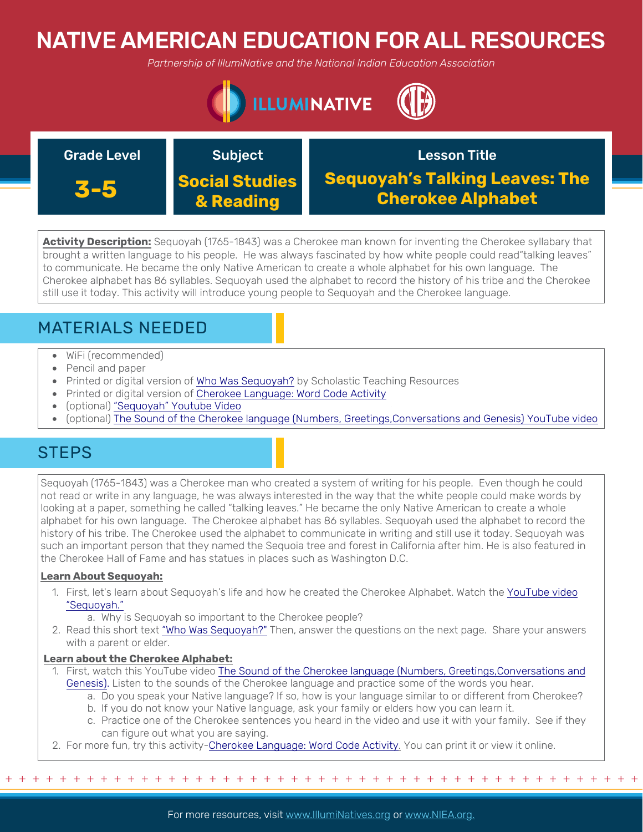# NATIVE AMERICAN EDUCATION FOR ALL RESOURCES

*Partnership of IllumiNative and the National Indian Education Association*





**Activity Description:** Sequoyah (1765-1843) was a Cherokee man known for inventing the Cherokee syllabary that brought a written language to his people. He was always fascinated by how white people could read"talking leaves" to communicate. He became the only Native American to create a whole alphabet for his own language. The Cherokee alphabet has 86 syllables. Sequoyah used the alphabet to record the history of his tribe and the Cherokee still use it today. This activity will introduce young people to Sequoyah and the Cherokee language.

# MATERIALS NEEDED

- WiFi (recommended)
- Pencil and paper
- Printed or digital version of [Who Was Sequoyah?](https://hcjcany.org/wp-content/uploads/2016/06/Sequoyah-Writing-System-Worksheet.pdf) by Scholastic Teaching Resources
- Printed or digital version of [Cherokee Language: Word Code Activity](https://www.k12reader.com/worksheet/cherokee-language-word-code-activity/view/)
- (optional) ["Sequoyah" Youtube Video](https://www.youtube.com/watch?v=MGG1ZHur3g4&t=2s)
- (optional) [The Sound of the Cherokee language \(Numbers, Greetings,Conversations and Genesis\) YouTube video](https://www.youtube.com/watch?v=I1hK33-84Ks)

## **STEPS**

Sequoyah (1765-1843) was a Cherokee man who created a system of writing for his people. Even though he could not read or write in any language, he was always interested in the way that the white people could make words by looking at a paper, something he called "talking leaves." He became the only Native American to create a whole alphabet for his own language. The Cherokee alphabet has 86 syllables. Sequoyah used the alphabet to record the history of his tribe. The Cherokee used the alphabet to communicate in writing and still use it today. Sequoyah was such an important person that they named the Sequoia tree and forest in California after him. He is also featured in the Cherokee Hall of Fame and has statues in places such as Washington D.C.

## **Learn About Sequoyah:**

1. [First, let's learn about Sequoyah's life and how he created the Cherokee Alphabet. Watch the YouTube video](https://www.youtube.com/watch?v=MGG1ZHur3g4&t=2s) "Sequoyah."

a. Why is Sequoyah so important to the Cherokee people?

2. Read this short text ["Who Was Sequoyah?"](https://hcjcany.org/wp-content/uploads/2016/06/Sequoyah-Writing-System-Worksheet.pdf%20) Then, answer the questions on the next page. Share your answers with a parent or elder.

## **Learn about the Cherokee Alphabet:**

- 1. First, watch this YouTube video The Sound of the Cherokee language (Numbers, Greetings,Conversations and [Genesis\). Listen to the sounds of the Cherokee language and practice some of the words you hear.](https://www.youtube.com/watch?v=I1hK33-84Ks)
	- a. Do you speak your Native language? If so, how is your language similar to or different from Cherokee?
	- b. If you do not know your Native language, ask your family or elders how you can learn it.
	- c. Practice one of the Cherokee sentences you heard in the video and use it with your family. See if they can figure out what you are saying.
- 2. For more fun, try this activity-[Cherokee Language: Word Code Activity.](https://www.k12reader.com/worksheet/cherokee-language-word-code-activity/view/) You can print it or view it online.

+ + + + + + + + + + + + + + + + + + + + + + + + + + + + + + + + + + + + + + + + + + + + + + + +